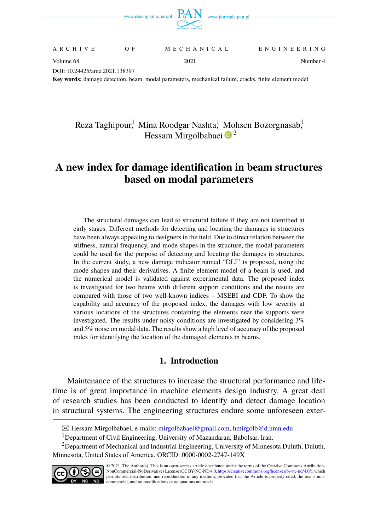

| ENGINEERING<br>MECHANICAL<br>ARCHIVE |  |
|--------------------------------------|--|
|--------------------------------------|--|

Volume 68 2021 2021 Volume 68 2021

DOI: 10.24425/ame.2021.138397

**Key words:** damage detection, beam, modal parameters, mechanical failure, cracks, finite element model

# Reza Taghipour<sup>!</sup> Mina Roodgar Nashta<sup>!</sup> Mohsen Bozorgnasab<sup>!</sup> Hessam Mirgolbabaei  $\mathbf{D}^2$  $\mathbf{D}^2$

# **A new index for damage identification in beam structures based on modal parameters**

The structural damages can lead to structural failure if they are not identified at early stages. Different methods for detecting and locating the damages in structures have been always appealing to designers in the field. Due to direct relation between the stiffness, natural frequency, and mode shapes in the structure, the modal parameters could be used for the purpose of detecting and locating the damages in structures. In the current study, a new damage indicator named "DLI" is proposed, using the mode shapes and their derivatives. A finite element model of a beam is used, and the numerical model is validated against experimental data. The proposed index is investigated for two beams with different support conditions and the results are compared with those of two well-known indices – MSEBI and CDF. To show the capability and accuracy of the proposed index, the damages with low severity at various locations of the structures containing the elements near the supports were investigated. The results under noisy conditions are investigated by considering 3% and 5% noise on modal data. The results show a high level of accuracy of the proposed index for identifying the location of the damaged elements in beams.

# **1. Introduction**

Maintenance of the structures to increase the structural performance and lifetime is of great importance in machine elements design industry. A great deal of research studies has been conducted to identify and detect damage location in structural systems. The engineering structures endure some unforeseen exter-

<sup>&</sup>lt;sup>2</sup>Department of Mechanical and Industrial Engineering, University of Minnesota Duluth, Duluth, Minnesota, United States of America. ORCID: 0000-0002-2747-149X



B Hessam Mirgolbabaei, e-mails: [mirgolbabaei@gmail.com,](mailto:mirgolbabaei@gmail.com) [hmirgolb@d.umn.edu](mailto:hmirgolb@d.umn.edu)

<sup>&</sup>lt;sup>1</sup>Department of Civil Engineering, University of Mazandaran, Babolsar, Iran.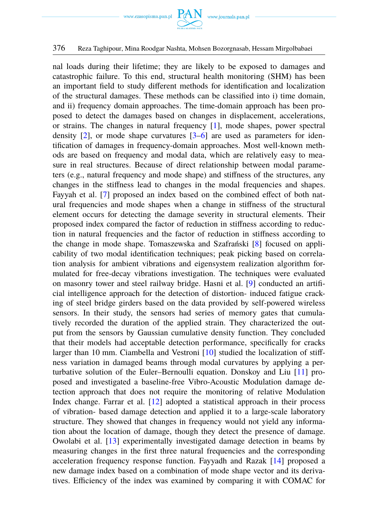

nal loads during their lifetime; they are likely to be exposed to damages and catastrophic failure. To this end, structural health monitoring (SHM) has been an important field to study different methods for identification and localization of the structural damages. These methods can be classified into i) time domain, and ii) frequency domain approaches. The time-domain approach has been proposed to detect the damages based on changes in displacement, accelerations, or strains. The changes in natural frequency [\[1\]](#page-17-0), mode shapes, power spectral density  $[2]$ , or mode shape curvatures  $[3-6]$  $[3-6]$  are used as parameters for identification of damages in frequency-domain approaches. Most well-known methods are based on frequency and modal data, which are relatively easy to measure in real structures. Because of direct relationship between modal parameters (e.g., natural frequency and mode shape) and stiffness of the structures, any changes in the stiffness lead to changes in the modal frequencies and shapes. Fayyah et al. [\[7\]](#page-18-3) proposed an index based on the combined effect of both natural frequencies and mode shapes when a change in stiffness of the structural element occurs for detecting the damage severity in structural elements. Their proposed index compared the factor of reduction in stiffness according to reduction in natural frequencies and the factor of reduction in stiffness according to the change in mode shape. Tomaszewska and Szafrański [\[8\]](#page-18-4) focused on applicability of two modal identification techniques; peak picking based on correlation analysis for ambient vibrations and eigensystem realization algorithm formulated for free-decay vibrations investigation. The techniques were evaluated on masonry tower and steel railway bridge. Hasni et al. [\[9\]](#page-18-5) conducted an artificial intelligence approach for the detection of distortion- induced fatigue cracking of steel bridge girders based on the data provided by self-powered wireless sensors. In their study, the sensors had series of memory gates that cumulatively recorded the duration of the applied strain. They characterized the output from the sensors by Gaussian cumulative density function. They concluded that their models had acceptable detection performance, specifically for cracks larger than 10 mm. Ciambella and Vestroni [\[10\]](#page-18-6) studied the localization of stiffness variation in damaged beams through modal curvatures by applying a perturbative solution of the Euler–Bernoulli equation. Donskoy and Liu [\[11\]](#page-18-7) proposed and investigated a baseline-free Vibro-Acoustic Modulation damage detection approach that does not require the monitoring of relative Modulation Index change. Farrar et al. [\[12\]](#page-18-8) adopted a statistical approach in their process of vibration- based damage detection and applied it to a large-scale laboratory structure. They showed that changes in frequency would not yield any information about the location of damage, though they detect the presence of damage. Owolabi et al. [\[13\]](#page-18-9) experimentally investigated damage detection in beams by measuring changes in the first three natural frequencies and the corresponding acceleration frequency response function. Fayyadh and Razak [\[14\]](#page-18-10) proposed a new damage index based on a combination of mode shape vector and its derivatives. Efficiency of the index was examined by comparing it with COMAC for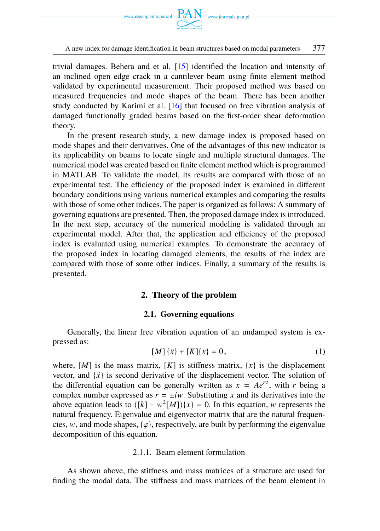

trivial damages. Behera and et al. [\[15\]](#page-18-11) identified the location and intensity of an inclined open edge crack in a cantilever beam using finite element method validated by experimental measurement. Their proposed method was based on measured frequencies and mode shapes of the beam. There has been another study conducted by Karimi et al. [\[16\]](#page-18-12) that focused on free vibration analysis of damaged functionally graded beams based on the first-order shear deformation theory.

In the present research study, a new damage index is proposed based on mode shapes and their derivatives. One of the advantages of this new indicator is its applicability on beams to locate single and multiple structural damages. The numerical model was created based on finite element method which is programmed in MATLAB. To validate the model, its results are compared with those of an experimental test. The efficiency of the proposed index is examined in different boundary conditions using various numerical examples and comparing the results with those of some other indices. The paper is organized as follows: A summary of governing equations are presented. Then, the proposed damage index is introduced. In the next step, accuracy of the numerical modeling is validated through an experimental model. After that, the application and efficiency of the proposed index is evaluated using numerical examples. To demonstrate the accuracy of the proposed index in locating damaged elements, the results of the index are compared with those of some other indices. Finally, a summary of the results is presented.

### **2. Theory of the problem**

### **2.1. Governing equations**

Generally, the linear free vibration equation of an undamped system is expressed as:

$$
[M] \{\ddot{x}\} + [K] \{x\} = 0,\tag{1}
$$

where,  $[M]$  is the mass matrix,  $[K]$  is stiffness matrix,  $\{x\}$  is the displacement vector, and  $\{\ddot{x}\}\$ is second derivative of the displacement vector. The solution of the differential equation can be generally written as  $x = Ae^{rt}$ , with *r* being a complex number expressed as  $r = \pm iw$ . Substituting *x* and its derivatives into the above equation leads to  $([k] - w^2[M])(x) = 0$ . In this equation, w represents the natural frequency. Eigenvalue and eigenvector matrix that are the natural frequencies, w, and mode shapes,  $\{\varphi\}$ , respectively, are built by performing the eigenvalue decomposition of this equation.

### 2.1.1. Beam element formulation

As shown above, the stiffness and mass matrices of a structure are used for finding the modal data. The stiffness and mass matrices of the beam element in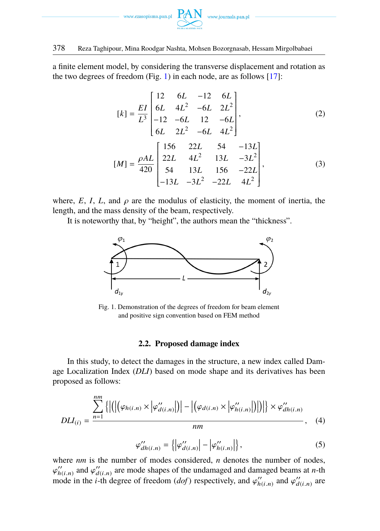

a finite element model, by considering the transverse displacement and rotation as the two degrees of freedom (Fig. [1\)](#page-3-0) in each node, are as follows  $[17]$ :

<span id="page-3-1"></span>
$$
[k] = \frac{EI}{L^3} \begin{bmatrix} 12 & 6L & -12 & 6L \\ 6L & 4L^2 & -6L & 2L^2 \\ -12 & -6L & 12 & -6L \\ 6L & 2L^2 & -6L & 4L^2 \end{bmatrix},
$$
(2)  

$$
[M] = \frac{\rho AL}{420} \begin{bmatrix} 156 & 22L & 54 & -13L \\ 22L & 4L^2 & 13L & -3L^2 \\ 54 & 13L & 156 & -22L \\ -13L & -3L^2 & -22L & 4L^2 \end{bmatrix},
$$
(3)

where,  $E$ ,  $I$ ,  $L$ , and  $\rho$  are the modulus of elasticity, the moment of inertia, the length, and the mass density of the beam, respectively.

<span id="page-3-0"></span>It is noteworthy that, by "height", the authors mean the "thickness".



Fig. 1. Demonstration of the degrees of freedom for beam element and positive sign convention based on FEM method

### **2.2. Proposed damage index**

In this study, to detect the damages in the structure, a new index called Damage Localization Index (*DLI*) based on mode shape and its derivatives has been proposed as follows:

$$
DLI_{(i)} = \frac{\sum_{n=1}^{nm} \left\{ \left| \left( \left| \left( \varphi_{h(i,n)} \times \left| \varphi_{d(i,n)}^{\prime\prime} \right| \right) \right| - \left| \left( \varphi_{d(i,n)} \times \left| \varphi_{h(i,n)}^{\prime\prime} \right| \right) \right| \right) \right| \right\} \times \varphi_{dh(i,n)}^{\prime\prime}}{nm}, \quad (4)
$$

$$
\varphi_{dh(i,n)}^{\prime\prime} = \left\{ \left| \varphi_{d(i,n)}^{\prime\prime} \right| - \left| \varphi_{h(i,n)}^{\prime\prime} \right| \right\},\tag{5}
$$

where *nm* is the number of modes considered, *n* denotes the number of nodes,  $\varphi_{h(i,n)}$  and  $\varphi_{d(i,n)}$ <br>mode in the *i*-th *c*  $\mu_{(i,n)}$  and  $\varphi''_{d(i,n)}$  are mode shapes of the undamaged and damaged beams at *n*-th<br>ode in the *i* th degree of freedom (dof) respectively, and  $\varphi''$  and  $\varphi''$ mode in the *i*-th degree of freedom  $(dof)$  respectively, and  $\varphi''_h$  $_{h(i,n)}''$  and  $\varphi''_d$  $\frac{d(i,n)}{dt}$  are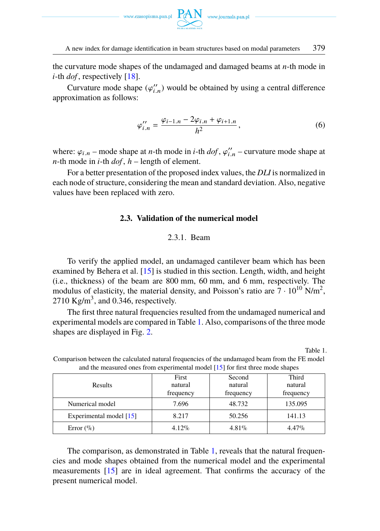

the curvature mode shapes of the undamaged and damaged beams at *n*-th mode in *i*-th *dof* , respectively [\[18\]](#page-18-14).

Curvature mode shape  $(\varphi''_i)$ <br>oximation as follows:  $\binom{n}{i}$  would be obtained by using a central difference approximation as follows:

$$
\varphi_{i,n}^{\prime\prime} = \frac{\varphi_{i-1,n} - 2\varphi_{i,n} + \varphi_{i+1,n}}{h^2},\tag{6}
$$

where:  $\varphi_{i,n}$  – mode shape at *n*-th mode in *i*-th *dof*,  $\varphi''$ , *n*-th mode in *i*-th *dof h* – length of element  $\frac{n}{i}$  – curvature mode shape at *n*-th mode in *i*-th *dof* , *h* – length of element.

<span id="page-4-1"></span>For a better presentation of the proposed index values, the *DLI* is normalized in each node of structure, considering the mean and standard deviation. Also, negative values have been replaced with zero.

### **2.3. Validation of the numerical model**

# 2.3.1. Beam

To verify the applied model, an undamaged cantilever beam which has been examined by Behera et al. [\[15\]](#page-18-11) is studied in this section. Length, width, and height (i.e., thickness) of the beam are 800 mm, 60 mm, and 6 mm, respectively. The modulus of elasticity, the material density, and Poisson's ratio are  $7 \cdot 10^{10}$  N/m<sup>2</sup>, 2710 Kg/m<sup>3</sup>, and 0.346, respectively.

The first three natural frequencies resulted from the undamaged numerical and experimental models are compared in Table [1.](#page-4-0) Also, comparisons of the three mode shapes are displayed in Fig. [2.](#page-5-0)

Table 1.

| and the measured ones from experimental model (19) for mot time mode shapes |           |           |           |
|-----------------------------------------------------------------------------|-----------|-----------|-----------|
|                                                                             | First     | Second    | Third     |
| Results                                                                     | natural   | natural   | natural   |
|                                                                             | frequency | frequency | frequency |
| Numerical model                                                             | 7.696     | 48.732    | 135.095   |
| Experimental model [15]                                                     | 8.217     | 50.256    | 141.13    |
| Error $(\%)$                                                                | $4.12\%$  | $4.81\%$  | $4.47\%$  |

<span id="page-4-0"></span>Comparison between the calculated natural frequencies of the undamaged beam from the FE model and the measured ones from experimental model [\[15\]](#page-18-11) for first three mode shapes

The comparison, as demonstrated in Table [1,](#page-4-0) reveals that the natural frequencies and mode shapes obtained from the numerical model and the experimental measurements [\[15\]](#page-18-11) are in ideal agreement. That confirms the accuracy of the present numerical model.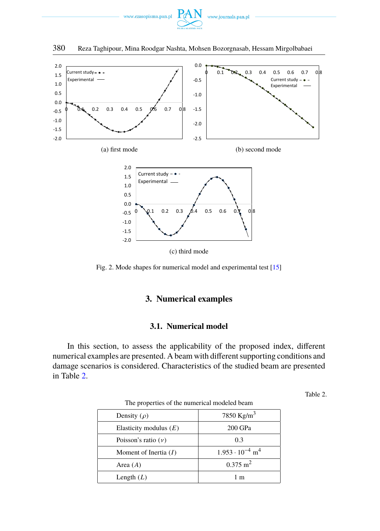

<span id="page-5-0"></span>

Fig. 2. Mode shapes for numerical model and experimental test [\[15\]](#page-18-11)

# **3. Numerical examples**

## **3.1. Numerical model**

<span id="page-5-1"></span>In this section, to assess the applicability of the proposed index, different numerical examples are presented. A beam with different supporting conditions and damage scenarios is considered. Characteristics of the studied beam are presented in Table [2.](#page-5-1)

Table 2.

| The properties of the numerical modeled seamle |                                      |  |
|------------------------------------------------|--------------------------------------|--|
| Density $(\rho)$                               | 7850 Kg/m <sup>3</sup>               |  |
| Elasticity modulus $(E)$                       | 200 GPa                              |  |
| Poisson's ratio $(v)$                          | 0.3                                  |  |
| Moment of Inertia $(I)$                        | $1.953 \cdot 10^{-4}$ m <sup>4</sup> |  |
| Area $(A)$                                     | $0.375 \text{ m}^2$                  |  |
| Length $(L)$                                   | 1 m                                  |  |

| The properties of the numerical modeled beam |
|----------------------------------------------|
|----------------------------------------------|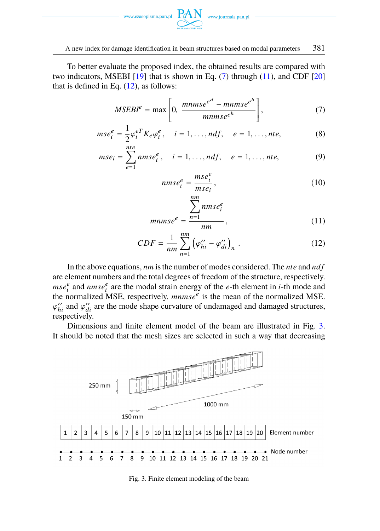

To better evaluate the proposed index, the obtained results are compared with two indicators, MSEBI  $[19]$  that is shown in Eq. [\(7\)](#page-6-0) through [\(11\)](#page-6-1), and CDF  $[20]$ that is defined in Eq.  $(12)$ , as follows:

$$
MSEBIe = \max \left[ 0, \frac{mmse^{e^d} - mmse^{e^h}}{mmse^{e^h}} \right],
$$
 (7)

$$
mse_i^e = \frac{1}{2} \varphi_i^{eT} K_e \varphi_i^e, \quad i = 1, \dots, ndf, \quad e = 1, \dots, nte,
$$
 (8)

$$
mse_i = \sum_{e=1}^{nte} nmse_i^e, \quad i = 1, ..., ndf, \quad e = 1, ..., nte,
$$
 (9)

<span id="page-6-2"></span><span id="page-6-1"></span><span id="page-6-0"></span>
$$
nmse_i^e = \frac{mse_i^e}{mse_i},
$$
\n<sup>(10)</sup>

$$
mmsee = \frac{\sum_{n=1} nmse_i^e}{nm},
$$
\n(11)

$$
CDF = \frac{1}{nm} \sum_{n=1}^{nm} \left( \varphi_{hi}^{\prime\prime} - \varphi_{di}^{\prime\prime} \right)_n . \tag{12}
$$

In the above equations, *nm* is the number of modes considered. The *nte* and *ndf* are element numbers and the total degrees of freedom of the structure, respectively.  $mse_i^e$  and  $nmse_i^e$  are the modal strain energy of the *e*-th element in *i*-th mode and the normalized MSE, respectively. *mnmse<sup>e</sup>* is the mean of the normalized MSE.  $\sum_{r=1}^{n}$  respectively.  $\eta'_{hi}$  and  $\varphi''_{di}$  are the mode shape curvature of undamaged and damaged structures,

Dimensions and finite element model of the beam are illustrated in Fig. [3.](#page-6-3) It should be noted that the mesh sizes are selected in such a way that decreasing

<span id="page-6-3"></span>

Fig. 3. Finite element modeling of the beam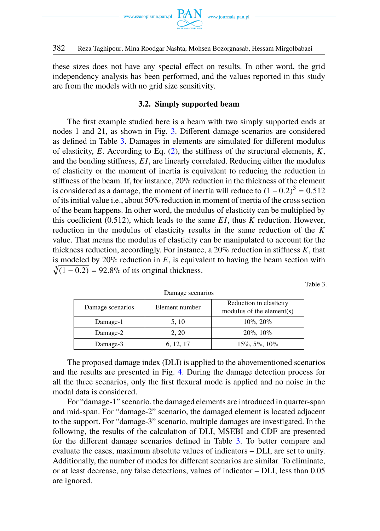

these sizes does not have any special effect on results. In other word, the grid independency analysis has been performed, and the values reported in this study are from the models with no grid size sensitivity.

## **3.2. Simply supported beam**

The first example studied here is a beam with two simply supported ends at nodes 1 and 21, as shown in Fig. [3.](#page-6-3) Different damage scenarios are considered as defined in Table [3.](#page-7-0) Damages in elements are simulated for different modulus of elasticity, *E*. According to Eq. [\(2\)](#page-3-1), the stiffness of the structural elements, *K*, and the bending stiffness, *E I*, are linearly correlated. Reducing either the modulus of elasticity or the moment of inertia is equivalent to reducing the reduction in stiffness of the beam. If, for instance, 20% reduction in the thickness of the element is considered as a damage, the moment of inertia will reduce to  $(1-0.2)^3 = 0.512$ <br>of its initial value i.e., about 50% reduction in moment of inertia of the cross section of its initial value i.e., about  $50\%$  reduction in moment of inertia of the cross section of the beam happens. In other word, the modulus of elasticity can be multiplied by this coefficient (0.512), which leads to the same *E I*, thus *K* reduction. However, reduction in the modulus of elasticity results in the same reduction of the *K* value. That means the modulus of elasticity can be manipulated to account for the thickness reduction, accordingly. For instance, a 20% reduction in stiffness *K*, that is modeled by  $20\%$  reduction in  $E$ , is equivalent to having the beam section with  $\sqrt[3]{(1-0.2)}$  = 92.8% of its original thickness.

Table 3.

<span id="page-7-0"></span>

| Damage scenarios | Element number | Reduction in elasticity<br>modulus of the element(s) |
|------------------|----------------|------------------------------------------------------|
| Damage-1         | 5.10           | $10\%$ , $20\%$                                      |
| Damage-2         | 2.20           | $20\%$ , $10\%$                                      |
| Damage-3         | 6, 12, 17      | $15\%, 5\%, 10\%$                                    |

Damage scenarios

The proposed damage index (DLI) is applied to the abovementioned scenarios and the results are presented in Fig. [4.](#page-8-0) During the damage detection process for all the three scenarios, only the first flexural mode is applied and no noise in the modal data is considered.

For "damage-1" scenario, the damaged elements are introduced in quarter-span and mid-span. For "damage-2" scenario, the damaged element is located adjacent to the support. For "damage-3" scenario, multiple damages are investigated. In the following, the results of the calculation of DLI, MSEBI and CDF are presented for the different damage scenarios defined in Table [3.](#page-7-0) To better compare and evaluate the cases, maximum absolute values of indicators – DLI, are set to unity. Additionally, the number of modes for different scenarios are similar. To eliminate, or at least decrease, any false detections, values of indicator – DLI, less than 0.05 are ignored.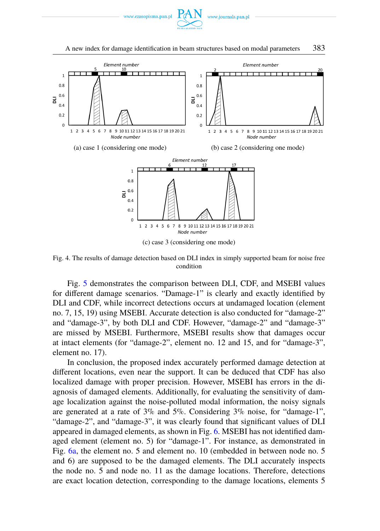



<span id="page-8-0"></span>

Fig. 4. The results of damage detection based on DLI index in simply supported beam for noise free condition

Fig. [5](#page-9-0) demonstrates the comparison between DLI, CDF, and MSEBI values for different damage scenarios. "Damage-1" is clearly and exactly identified by DLI and CDF, while incorrect detections occurs at undamaged location (element no. 7, 15, 19) using MSEBI. Accurate detection is also conducted for "damage-2" and "damage-3", by both DLI and CDF. However, "damage-2" and "damage-3" are missed by MSEBI. Furthermore, MSEBI results show that damages occur at intact elements (for "damage-2", element no. 12 and 15, and for "damage-3", element no. 17).

In conclusion, the proposed index accurately performed damage detection at different locations, even near the support. It can be deduced that CDF has also localized damage with proper precision. However, MSEBI has errors in the diagnosis of damaged elements. Additionally, for evaluating the sensitivity of damage localization against the noise-polluted modal information, the noisy signals are generated at a rate of 3% and 5%. Considering 3% noise, for "damage-1", "damage-2", and "damage-3", it was clearly found that significant values of DLI appeared in damaged elements, as shown in Fig. [6.](#page-9-0) MSEBI has not identified damaged element (element no. 5) for "damage-1". For instance, as demonstrated in Fig. [6a,](#page-9-0) the element no. 5 and element no. 10 (embedded in between node no. 5 and 6) are supposed to be the damaged elements. The DLI accurately inspects the node no. 5 and node no. 11 as the damage locations. Therefore, detections are exact location detection, corresponding to the damage locations, elements 5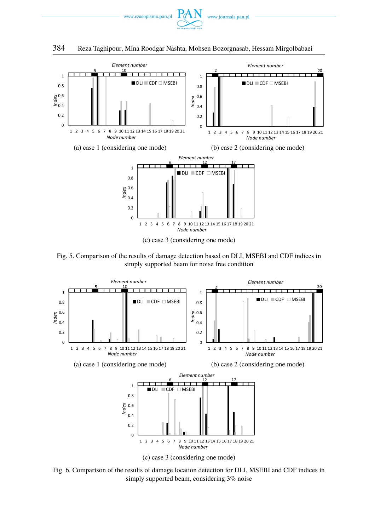

<span id="page-9-0"></span>

Fig. 5. Comparison of the results of damage detection based on DLI, MSEBI and CDF indices in simply supported beam for noise free condition



Fig. 6. Comparison of the results of damage location detection for DLI, MSEBI and CDF indices in simply supported beam, considering 3% noise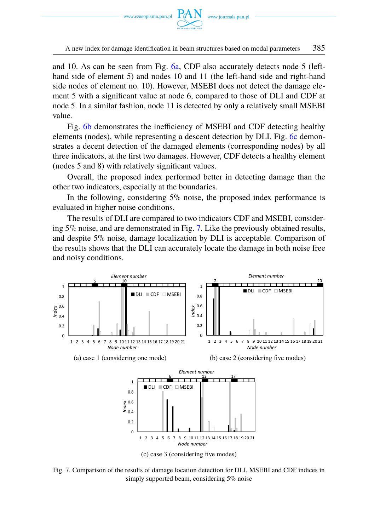

A new index for damage identification in beam structures based on modal parameters 385

and 10. As can be seen from Fig. [6a,](#page-9-0) CDF also accurately detects node 5 (lefthand side of element 5) and nodes 10 and 11 (the left-hand side and right-hand side nodes of element no. 10). However, MSEBI does not detect the damage element 5 with a significant value at node 6, compared to those of DLI and CDF at node 5. In a similar fashion, node 11 is detected by only a relatively small MSEBI value.

Fig. [6b](#page-9-0) demonstrates the inefficiency of MSEBI and CDF detecting healthy elements (nodes), while representing a descent detection by DLI. Fig. [6c](#page-9-0) demonstrates a decent detection of the damaged elements (corresponding nodes) by all three indicators, at the first two damages. However, CDF detects a healthy element (nodes 5 and 8) with relatively significant values.

Overall, the proposed index performed better in detecting damage than the other two indicators, especially at the boundaries.

In the following, considering  $5\%$  noise, the proposed index performance is evaluated in higher noise conditions.

The results of DLI are compared to two indicators CDF and MSEBI, considering 5% noise, and are demonstrated in Fig. [7.](#page-10-0) Like the previously obtained results, and despite 5% noise, damage localization by DLI is acceptable. Comparison of the results shows that the DLI can accurately locate the damage in both noise free and noisy conditions.

<span id="page-10-0"></span>

Fig. 7. Comparison of the results of damage location detection for DLI, MSEBI and CDF indices in simply supported beam, considering 5% noise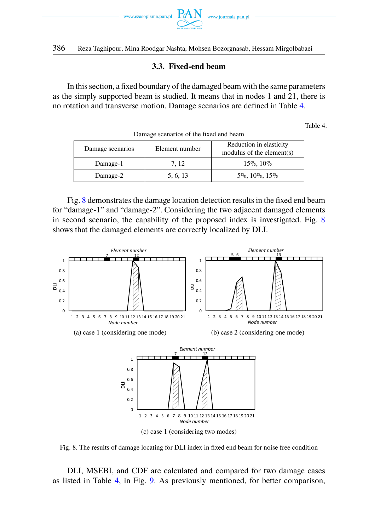

# **3.3. Fixed-end beam**

In this section, a fixed boundary of the damaged beam with the same parameters as the simply supported beam is studied. It means that in nodes 1 and 21, there is no rotation and transverse motion. Damage scenarios are defined in Table [4.](#page-11-0)

Table 4.

<span id="page-11-0"></span>

| Damage scenarios or the fixed end beam |                |                                                      |  |
|----------------------------------------|----------------|------------------------------------------------------|--|
| Damage scenarios                       | Element number | Reduction in elasticity<br>modulus of the element(s) |  |
| Damage-1                               | 7.12           | $15\%$ , $10\%$                                      |  |
| Damage-2                               | 5, 6, 13       | $5\%$ , 10\%, 15\%                                   |  |

nego scenarios of the fixed and beam

Fig. [8](#page-11-1) demonstrates the damage location detection results in the fixed end beam for "damage-1" and "damage-2". Considering the two adjacent damaged elements in second scenario, the capability of the proposed index is investigated. Fig. [8](#page-11-1) shows that the damaged elements are correctly localized by DLI.

<span id="page-11-1"></span>

(c) case 1 (considering two modes)



DLI, MSEBI, and CDF are calculated and compared for two damage cases as listed in Table [4,](#page-11-0) in Fig. [9.](#page-12-0) As previously mentioned, for better comparison,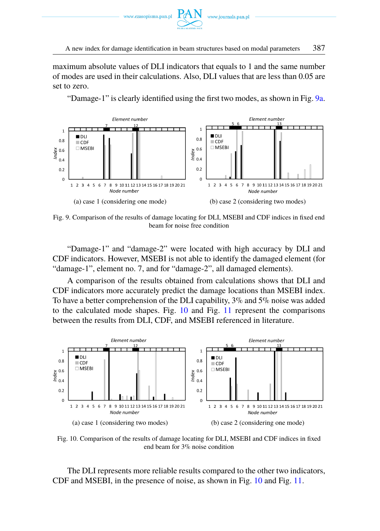

maximum absolute values of DLI indicators that equals to 1 and the same number of modes are used in their calculations. Also, DLI values that are less than 0.05 are set to zero.

"Damage-1" is clearly identified using the first two modes, as shown in Fig. [9a.](#page-12-0)

<span id="page-12-0"></span>

Fig. 9. Comparison of the results of damage locating for DLI, MSEBI and CDF indices in fixed end beam for noise free condition

"Damage-1" and "damage-2" were located with high accuracy by DLI and CDF indicators. However, MSEBI is not able to identify the damaged element (for "damage-1", element no. 7, and for "damage-2", all damaged elements).

A comparison of the results obtained from calculations shows that DLI and CDF indicators more accurately predict the damage locations than MSEBI index. To have a better comprehension of the DLI capability, 3% and 5% noise was added to the calculated mode shapes. Fig. [10](#page-12-1) and Fig. [11](#page-13-0) represent the comparisons between the results from DLI, CDF, and MSEBI referenced in literature.

<span id="page-12-1"></span>

Fig. 10. Comparison of the results of damage locating for DLI, MSEBI and CDF indices in fixed end beam for 3% noise condition

The DLI represents more reliable results compared to the other two indicators, CDF and MSEBI, in the presence of noise, as shown in Fig. [10](#page-12-1) and Fig. [11.](#page-13-0)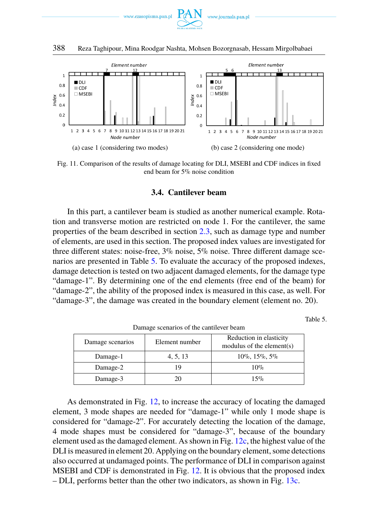



<span id="page-13-0"></span>

Fig. 11. Comparison of the results of damage locating for DLI, MSEBI and CDF indices in fixed end beam for 5% noise condition

### **3.4. Cantilever beam**

In this part, a cantilever beam is studied as another numerical example. Rotation and transverse motion are restricted on node 1. For the cantilever, the same properties of the beam described in section [2.3,](#page-4-1) such as damage type and number of elements, are used in this section. The proposed index values are investigated for three different states: noise-free, 3% noise, 5% noise. Three different damage scenarios are presented in Table [5.](#page-13-1) To evaluate the accuracy of the proposed indexes, damage detection is tested on two adjacent damaged elements, for the damage type "damage-1". By determining one of the end elements (free end of the beam) for "damage-2", the ability of the proposed index is measured in this case, as well. For "damage-3", the damage was created in the boundary element (element no. 20).

Table 5.

<span id="page-13-1"></span>

| Damage scenarios | Element number | Reduction in elasticity<br>modulus of the element(s) |
|------------------|----------------|------------------------------------------------------|
| Damage-1         | 4, 5, 13       | $10\%$ , $15\%$ , $5\%$                              |
| Damage-2         | 19             | $10\%$                                               |
| Damage-3         | 20             | 15%                                                  |

Damage scenarios of the cantilever beam

As demonstrated in Fig. [12,](#page-14-0) to increase the accuracy of locating the damaged element, 3 mode shapes are needed for "damage-1" while only 1 mode shape is considered for "damage-2". For accurately detecting the location of the damage, 4 mode shapes must be considered for "damage-3", because of the boundary element used as the damaged element. As shown in Fig. [12c,](#page-14-0) the highest value of the DLI is measured in element 20. Applying on the boundary element, some detections also occurred at undamaged points. The performance of DLI in comparison against MSEBI and CDF is demonstrated in Fig. [12.](#page-14-0) It is obvious that the proposed index – DLI, performs better than the other two indicators, as shown in Fig. [13c.](#page-14-0)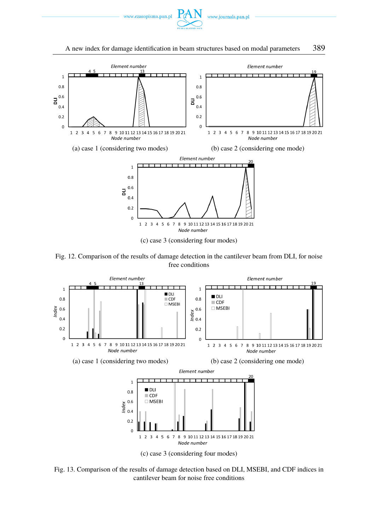

#### A new index for damage identification in beam structures based on modal parameters 389

<span id="page-14-0"></span>

Fig. 12. Comparison of the results of damage detection in the cantilever beam from DLI, for noise free conditions



Fig. 13. Comparison of the results of damage detection based on DLI, MSEBI, and CDF indices in cantilever beam for noise free conditions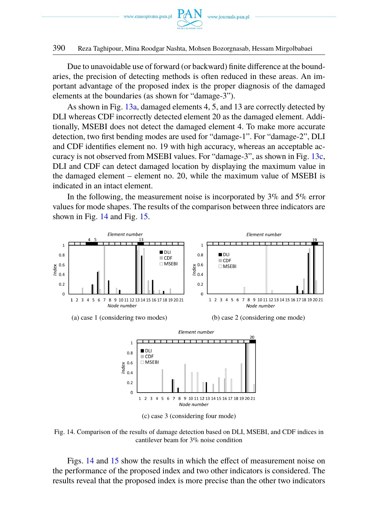

Due to unavoidable use of forward (or backward) finite difference at the boundaries, the precision of detecting methods is often reduced in these areas. An important advantage of the proposed index is the proper diagnosis of the damaged elements at the boundaries (as shown for "damage-3").

As shown in Fig. [13a,](#page-14-0) damaged elements 4, 5, and 13 are correctly detected by DLI whereas CDF incorrectly detected element 20 as the damaged element. Additionally, MSEBI does not detect the damaged element 4. To make more accurate detection, two first bending modes are used for "damage-1". For "damage-2", DLI and CDF identifies element no. 19 with high accuracy, whereas an acceptable accuracy is not observed from MSEBI values. For "damage-3", as shown in Fig. [13c,](#page-14-0) DLI and CDF can detect damaged location by displaying the maximum value in the damaged element – element no. 20, while the maximum value of MSEBI is indicated in an intact element.

In the following, the measurement noise is incorporated by  $3\%$  and  $5\%$  error values for mode shapes. The results of the comparison between three indicators are shown in Fig. [14](#page-15-0) and Fig. [15.](#page-16-0)

<span id="page-15-0"></span>

Fig. 14. Comparison of the results of damage detection based on DLI, MSEBI, and CDF indices in cantilever beam for 3% noise condition

Figs. [14](#page-15-0) and [15](#page-16-0) show the results in which the effect of measurement noise on the performance of the proposed index and two other indicators is considered. The results reveal that the proposed index is more precise than the other two indicators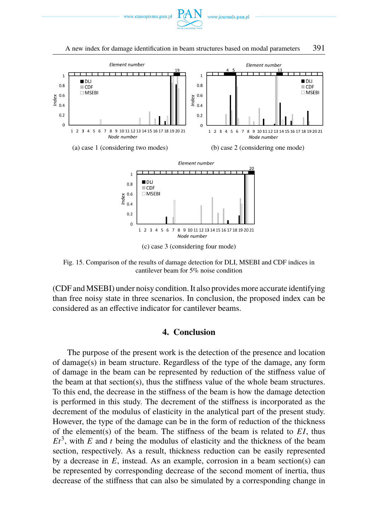



<span id="page-16-0"></span>

Fig. 15. Comparison of the results of damage detection for DLI, MSEBI and CDF indices in cantilever beam for 5% noise condition

(CDF and MSEBI) under noisy condition. It also provides more accurate identifying than free noisy state in three scenarios. In conclusion, the proposed index can be considered as an effective indicator for cantilever beams.

### **4. Conclusion**

The purpose of the present work is the detection of the presence and location of damage(s) in beam structure. Regardless of the type of the damage, any form of damage in the beam can be represented by reduction of the stiffness value of the beam at that section(s), thus the stiffness value of the whole beam structures. To this end, the decrease in the stiffness of the beam is how the damage detection is performed in this study. The decrement of the stiffness is incorporated as the decrement of the modulus of elasticity in the analytical part of the present study. However, the type of the damage can be in the form of reduction of the thickness of the element(s) of the beam. The stiffness of the beam is related to  $EI$ , thus  $Et<sup>3</sup>$ , with *E* and *t* being the modulus of elasticity and the thickness of the beam section, respectively. As a result, thickness reduction can be easily represented by a decrease in *E*, instead. As an example, corrosion in a beam section(s) can be represented by corresponding decrease of the second moment of inertia, thus decrease of the stiffness that can also be simulated by a corresponding change in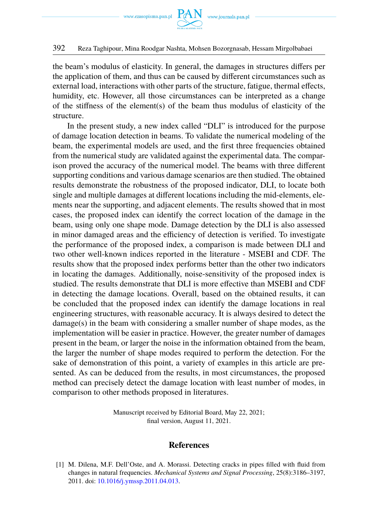

the beam's modulus of elasticity. In general, the damages in structures differs per the application of them, and thus can be caused by different circumstances such as external load, interactions with other parts of the structure, fatigue, thermal effects, humidity, etc. However, all those circumstances can be interpreted as a change of the stiffness of the element(s) of the beam thus modulus of elasticity of the structure.

In the present study, a new index called "DLI" is introduced for the purpose of damage location detection in beams. To validate the numerical modeling of the beam, the experimental models are used, and the first three frequencies obtained from the numerical study are validated against the experimental data. The comparison proved the accuracy of the numerical model. The beams with three different supporting conditions and various damage scenarios are then studied. The obtained results demonstrate the robustness of the proposed indicator, DLI, to locate both single and multiple damages at different locations including the mid-elements, elements near the supporting, and adjacent elements. The results showed that in most cases, the proposed index can identify the correct location of the damage in the beam, using only one shape mode. Damage detection by the DLI is also assessed in minor damaged areas and the efficiency of detection is verified. To investigate the performance of the proposed index, a comparison is made between DLI and two other well-known indices reported in the literature - MSEBI and CDF. The results show that the proposed index performs better than the other two indicators in locating the damages. Additionally, noise-sensitivity of the proposed index is studied. The results demonstrate that DLI is more effective than MSEBI and CDF in detecting the damage locations. Overall, based on the obtained results, it can be concluded that the proposed index can identify the damage locations in real engineering structures, with reasonable accuracy. It is always desired to detect the damage(s) in the beam with considering a smaller number of shape modes, as the implementation will be easier in practice. However, the greater number of damages present in the beam, or larger the noise in the information obtained from the beam, the larger the number of shape modes required to perform the detection. For the sake of demonstration of this point, a variety of examples in this article are presented. As can be deduced from the results, in most circumstances, the proposed method can precisely detect the damage location with least number of modes, in comparison to other methods proposed in literatures.

> Manuscript received by Editorial Board, May 22, 2021; final version, August 11, 2021.

### **References**

<span id="page-17-0"></span>[1] M. Dilena, M.F. Dell'Oste, and A. Morassi. Detecting cracks in pipes filled with fluid from changes in natural frequencies. *Mechanical Systems and Signal Processing*, 25(8):3186–3197, 2011. doi: [10.1016/j.ymssp.2011.04.013.](https://doi.org/10.1016/j.ymssp.2011.04.013)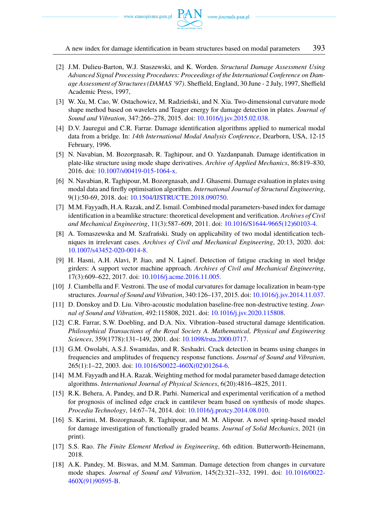

A new index for damage identification in beam structures based on modal parameters 393

- <span id="page-18-0"></span>[2] J.M. Dulieu-Barton, W.J. Staszewski, and K. Worden. *Structural Damage Assessment Using Advanced Signal Processing Procedures: Proceedings of the International Conference on Damage Assessment of Structures (DAMAS '97)*. Sheffield, England, 30 June - 2 July, 1997, Sheffield Academic Press, 1997,
- <span id="page-18-1"></span>[3] W. Xu, M. Cao, W. Ostachowicz, M. Radzieński, and N. Xia. Two-dimensional curvature mode shape method based on wavelets and Teager energy for damage detection in plates. *Journal of Sound and Vibration*, 347:266–278, 2015. doi: [10.1016/j.jsv.2015.02.038.](https://doi.org/10.1016/j.jsv.2015.02.038)
- [4] D.V. Jauregui and C.R. Farrar. Damage identification algorithms applied to numerical modal data from a bridge. In: *14th International Modal Analysis Conference*, Dearborn, USA, 12-15 February, 1996.
- [5] N. Navabian, M. Bozorgnasab, R. Taghipour, and O. Yazdanpanah. Damage identification in plate-like structure using mode shape derivatives. *Archive of Applied Mechanics*, 86:819–830, 2016. doi: [10.1007/s00419-015-1064-x.](https://doi.org/10.1007/s00419-015-1064-x)
- <span id="page-18-2"></span>[6] N. Navabian, R. Taghipour, M. Bozorgnasab, and J. Ghasemi. Damage evaluation in plates using modal data and firefly optimisation algorithm. *International Journal of Structural Engineering*, 9(1):50-69, 2018. doi: [10.1504/IJSTRUCTE.2018.090750.](https://doi.org/10.1504/IJSTRUCTE.2018.090750)
- <span id="page-18-3"></span>[7] M.M. Fayyadh, H.A. Razak, and Z. Ismail. Combined modal parameters-based index for damage identification in a beamlike structure: theoretical development and verification. *Archives of Civil and Mechanical Engineering*, 11(3):587–609, 2011. doi: [10.1016/S1644-9665\(12\)60103-4.](https://doi.org/10.1016/S1644-9665(12)60103-4)
- <span id="page-18-4"></span>[8] A. Tomaszewska and M. Szafrański. Study on applicability of two modal identification techniques in irrelevant cases. *Archives of Civil and Mechanical Engineering*, 20:13, 2020. doi: [10.1007/s43452-020-0014-8.](https://doi.org/10.1007/s43452-020-0014-8)
- <span id="page-18-5"></span>[9] H. Hasni, A.H. Alavi, P. Jiao, and N. Lajnef. Detection of fatigue cracking in steel bridge girders: A support vector machine approach. *Archives of Civil and Mechanical Engineering*, 17(3):609–622, 2017. doi: [10.1016/j.acme.2016.11.005.](https://doi.org/10.1016/j.acme.2016.11.005)
- <span id="page-18-6"></span>[10] J. Ciambella and F. Vestroni. The use of modal curvatures for damage localization in beam-type structures. *Journal of Sound and Vibration*, 340:126–137, 2015. doi: [10.1016/j.jsv.2014.11.037.](https://doi.org/10.1016/j.jsv.2014.11.037)
- <span id="page-18-7"></span>[11] D. Donskoy and D. Liu. Vibro-acoustic modulation baseline-free non-destructive testing. *Journal of Sound and Vibration*, 492:115808, 2021. doi: [10.1016/j.jsv.2020.115808.](https://doi.org/10.1016/j.jsv.2020.115808)
- <span id="page-18-8"></span>[12] C.R. Farrar, S.W. Doebling, and D.A. Nix. Vibration–based structural damage identification. *Philosophical Transactions of the Royal Society A. Mathematical, Physical and Engineering Sciences*, 359(1778):131–149, 2001. doi: [10.1098/rsta.2000.0717.](https://doi.org/10.1098/rsta.2000.0717)
- <span id="page-18-9"></span>[13] G.M. Owolabi, A.S.J. Swamidas, and R. Seshadri. Crack detection in beams using changes in frequencies and amplitudes of frequency response functions. *Journal of Sound and Vibration*, 265(1):1–22, 2003. doi: [10.1016/S0022-460X\(02\)01264-6.](https://doi.org/10.1016/S0022-460X(02)01264-6)
- <span id="page-18-10"></span>[14] M.M. Fayyadh and H.A. Razak. Weighting method for modal parameter based damage detection algorithms. *International Journal of Physical Sciences*, 6(20):4816–4825, 2011.
- <span id="page-18-11"></span>[15] R.K. Behera, A. Pandey, and D.R. Parhi. Numerical and experimental verification of a method for prognosis of inclined edge crack in cantilever beam based on synthesis of mode shapes. *Procedia Technology*, 14:67–74, 2014. doi: [10.1016/j.protcy.2014.08.010.](https://doi.org/10.1016/j.protcy.2014.08.010)
- <span id="page-18-12"></span>[16] S. Karimi, M. Bozorgnasab, R. Taghipour, and M. M. Alipour. A novel spring-based model for damage investigation of functionally graded beams. *Journal of Solid Mechanics*, 2021 (in print).
- <span id="page-18-13"></span>[17] S.S. Rao. *The Finite Element Method in Engineering*, 6th edition. Butterworth-Heinemann, 2018.
- <span id="page-18-14"></span>[18] A.K. Pandey, M. Biswas, and M.M. Samman. Damage detection from changes in curvature mode shapes. *Journal of Sound and Vibration*, 145(2):321–332, 1991. doi: [10.1016/0022-](https://doi.org/10.1016/0022-460X(91)90595-B) [460X\(91\)90595-B.](https://doi.org/10.1016/0022-460X(91)90595-B)